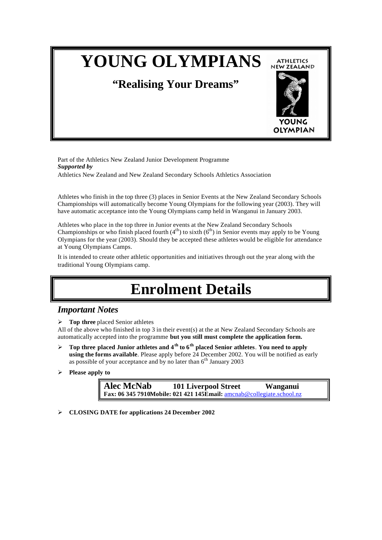# **YOUNG OLYMPIANS ATHLETICS NEW ZEALAND "Realising Your Dreams" OLYMPIAN**

Part of the Athletics New Zealand Junior Development Programme *Supported by* Athletics New Zealand and New Zealand Secondary Schools Athletics Association

Athletes who finish in the top three (3) places in Senior Events at the New Zealand Secondary Schools Championships will automatically become Young Olympians for the following year (2003). They will have automatic acceptance into the Young Olympians camp held in Wanganui in January 2003.

Athletes who place in the top three in Junior events at the New Zealand Secondary Schools Championships or who finish placed fourth  $(4<sup>th</sup>)$  to sixth  $(6<sup>th</sup>)$  in Senior events may apply to be Young Olympians for the year (2003). Should they be accepted these athletes would be eligible for attendance at Young Olympians Camps.

It is intended to create other athletic opportunities and initiatives through out the year along with the traditional Young Olympians camp.

# **Enrolment Details**

#### *Important Notes*

ÿ **Top three** placed Senior athletes

All of the above who finished in top 3 in their event(s) at the at New Zealand Secondary Schools are automatically accepted into the programme **but you still must complete the application form.**

- $\triangleright$  **Top three placed Junior athletes and 4<sup>th</sup> to 6<sup>th</sup> placed Senior athletes. You need to apply using the forms available**. Please apply before 24 December 2002. You will be notified as early as possible of your acceptance and by no later than  $6<sup>th</sup>$  January 2003
- ÿ **Please apply to**

**Alec McNab 101 Liverpool Street Wanganui Fax: 06 345 7910Mobile: 021 421 145Email:** amcnab@collegiate.school.nz

ÿ **CLOSING DATE for applications 24 December 2002**